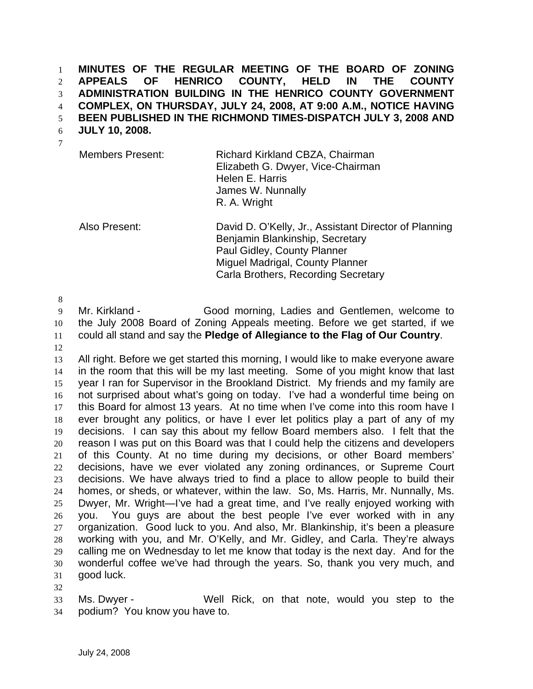**MINUTES OF THE REGULAR MEETING OF THE BOARD OF ZONING APPEALS OF HENRICO COUNTY, HELD IN THE COUNTY ADMINISTRATION BUILDING IN THE HENRICO COUNTY GOVERNMENT COMPLEX, ON THURSDAY, JULY 24, 2008, AT 9:00 A.M., NOTICE HAVING**  1 2 3 4

**BEEN PUBLISHED IN THE RICHMOND TIMES-DISPATCH JULY 3, 2008 AND**  5

**JULY 10, 2008.**  6

| v |  |
|---|--|
|   |  |
| ٦ |  |

Members Present: Richard Kirkland CBZA, Chairman Elizabeth G. Dwyer, Vice-Chairman Helen E. Harris James W. Nunnally R. A. Wright

Also Present: David D. O'Kelly, Jr., Assistant Director of Planning Benjamin Blankinship, Secretary Paul Gidley, County Planner Miguel Madrigal, County Planner Carla Brothers, Recording Secretary

8

9 10 11 Mr. Kirkland - Good morning, Ladies and Gentlemen, welcome to the July 2008 Board of Zoning Appeals meeting. Before we get started, if we could all stand and say the **Pledge of Allegiance to the Flag of Our Country**.

12

13 14 15 16 17 18 19 20 21 22 23 24 25 26 27 28 29 30 31 All right. Before we get started this morning, I would like to make everyone aware in the room that this will be my last meeting. Some of you might know that last year I ran for Supervisor in the Brookland District. My friends and my family are not surprised about what's going on today. I've had a wonderful time being on this Board for almost 13 years. At no time when I've come into this room have I ever brought any politics, or have I ever let politics play a part of any of my decisions. I can say this about my fellow Board members also. I felt that the reason I was put on this Board was that I could help the citizens and developers of this County. At no time during my decisions, or other Board members' decisions, have we ever violated any zoning ordinances, or Supreme Court decisions. We have always tried to find a place to allow people to build their homes, or sheds, or whatever, within the law. So, Ms. Harris, Mr. Nunnally, Ms. Dwyer, Mr. Wright—I've had a great time, and I've really enjoyed working with you. You guys are about the best people I've ever worked with in any organization. Good luck to you. And also, Mr. Blankinship, it's been a pleasure working with you, and Mr. O'Kelly, and Mr. Gidley, and Carla. They're always calling me on Wednesday to let me know that today is the next day. And for the wonderful coffee we've had through the years. So, thank you very much, and good luck.

32

33 34 Ms. Dwyer - Well Rick, on that note, would you step to the podium? You know you have to.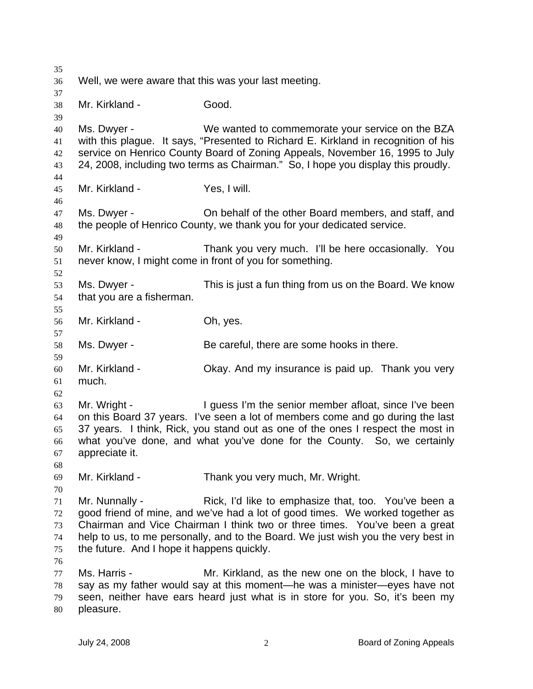35 36 37 38 39 40 41 42 43 44 45 46 47 48 49 50 51 52 53 54 55 56 57 58 59 60 61 62 63 64 65 66 67 68 69 70 71 72 73 74 75 76 77 78 79 80 Well, we were aware that this was your last meeting. Mr. Kirkland - Good. Ms. Dwyer - We wanted to commemorate your service on the BZA with this plague. It says, "Presented to Richard E. Kirkland in recognition of his service on Henrico County Board of Zoning Appeals, November 16, 1995 to July 24, 2008, including two terms as Chairman." So, I hope you display this proudly. Mr. Kirkland - Yes, I will. Ms. Dwyer - On behalf of the other Board members, and staff, and the people of Henrico County, we thank you for your dedicated service. Mr. Kirkland - Thank you very much. I'll be here occasionally. You never know, I might come in front of you for something. Ms. Dwyer - This is just a fun thing from us on the Board. We know that you are a fisherman. Mr. Kirkland - **Oh, yes.** Ms. Dwyer - Be careful, there are some hooks in there. Mr. Kirkland - Chay. And my insurance is paid up. Thank you very much. Mr. Wright - The Supply of The senior member afloat, since I've been on this Board 37 years. I've seen a lot of members come and go during the last 37 years. I think, Rick, you stand out as one of the ones I respect the most in what you've done, and what you've done for the County. So, we certainly appreciate it. Mr. Kirkland - Thank you very much, Mr. Wright. Mr. Nunnally - Rick, I'd like to emphasize that, too. You've been a good friend of mine, and we've had a lot of good times. We worked together as Chairman and Vice Chairman I think two or three times. You've been a great help to us, to me personally, and to the Board. We just wish you the very best in the future. And I hope it happens quickly. Ms. Harris - Mr. Kirkland, as the new one on the block, I have to say as my father would say at this moment—he was a minister—eyes have not seen, neither have ears heard just what is in store for you. So, it's been my pleasure.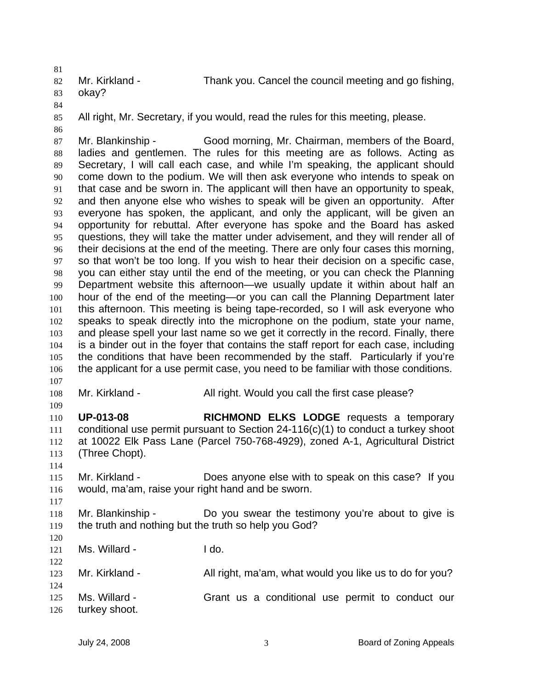81 82 Mr. Kirkland - Thank you. Cancel the council meeting and go fishing, okay?

- 83
- 84 85

All right, Mr. Secretary, if you would, read the rules for this meeting, please.

- 86 87 88 89 90 91 92 93 94 95 96 97 98 99 100 101 102 103 104 105 106 107 Mr. Blankinship - Good morning, Mr. Chairman, members of the Board, ladies and gentlemen. The rules for this meeting are as follows. Acting as Secretary, I will call each case, and while I'm speaking, the applicant should come down to the podium. We will then ask everyone who intends to speak on that case and be sworn in. The applicant will then have an opportunity to speak, and then anyone else who wishes to speak will be given an opportunity. After everyone has spoken, the applicant, and only the applicant, will be given an opportunity for rebuttal. After everyone has spoke and the Board has asked questions, they will take the matter under advisement, and they will render all of their decisions at the end of the meeting. There are only four cases this morning, so that won't be too long. If you wish to hear their decision on a specific case, you can either stay until the end of the meeting, or you can check the Planning Department website this afternoon—we usually update it within about half an hour of the end of the meeting—or you can call the Planning Department later this afternoon. This meeting is being tape-recorded, so I will ask everyone who speaks to speak directly into the microphone on the podium, state your name, and please spell your last name so we get it correctly in the record. Finally, there is a binder out in the foyer that contains the staff report for each case, including the conditions that have been recommended by the staff. Particularly if you're the applicant for a use permit case, you need to be familiar with those conditions.
- 108 Mr. Kirkland - All right. Would you call the first case please?

110 111 112 113 114 **UP-013-08 RICHMOND ELKS LODGE** requests a temporary conditional use permit pursuant to Section 24-116(c)(1) to conduct a turkey shoot at 10022 Elk Pass Lane (Parcel 750-768-4929), zoned A-1, Agricultural District (Three Chopt).

- 115 116 Mr. Kirkland - Does anyone else with to speak on this case? If you would, ma'am, raise your right hand and be sworn.
- 118 119 Mr. Blankinship - The Do you swear the testimony you're about to give is the truth and nothing but the truth so help you God?
- 120 121

122

117

109

Ms. Willard - I do.

- 123 124 125 Mr. Kirkland - All right, ma'am, what would you like us to do for you? Ms. Willard - The Grant us a conditional use permit to conduct our
- 126 turkey shoot.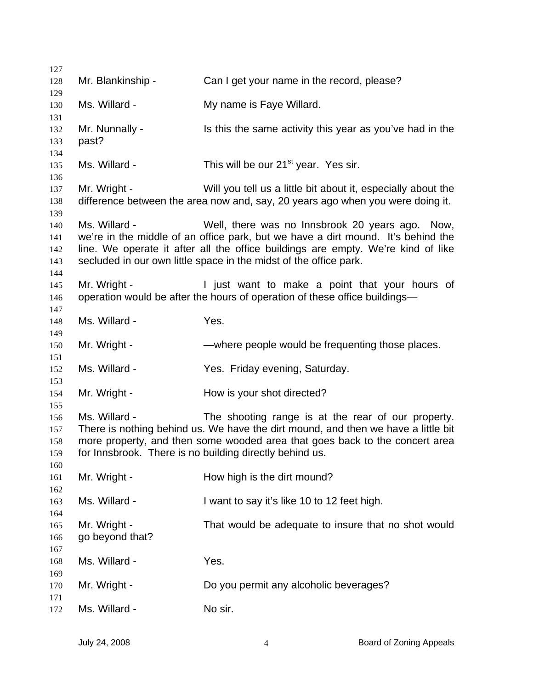| 127        |                   |                                                                                                                              |
|------------|-------------------|------------------------------------------------------------------------------------------------------------------------------|
| 128        | Mr. Blankinship - | Can I get your name in the record, please?                                                                                   |
| 129<br>130 | Ms. Willard -     | My name is Faye Willard.                                                                                                     |
| 131        |                   |                                                                                                                              |
| 132        | Mr. Nunnally -    | Is this the same activity this year as you've had in the                                                                     |
| 133        | past?             |                                                                                                                              |
| 134        |                   |                                                                                                                              |
| 135        | Ms. Willard -     | This will be our 21 <sup>st</sup> year. Yes sir.                                                                             |
| 136<br>137 | Mr. Wright -      | Will you tell us a little bit about it, especially about the                                                                 |
| 138        |                   | difference between the area now and, say, 20 years ago when you were doing it.                                               |
| 139        |                   |                                                                                                                              |
| 140        | Ms. Willard -     | Well, there was no Innsbrook 20 years ago. Now,                                                                              |
| 141        |                   | we're in the middle of an office park, but we have a dirt mound. It's behind the                                             |
| 142        |                   | line. We operate it after all the office buildings are empty. We're kind of like                                             |
| 143        |                   | secluded in our own little space in the midst of the office park.                                                            |
| 144        |                   |                                                                                                                              |
| 145<br>146 | Mr. Wright -      | I just want to make a point that your hours of<br>operation would be after the hours of operation of these office buildings- |
| 147        |                   |                                                                                                                              |
| 148        | Ms. Willard -     | Yes.                                                                                                                         |
| 149        |                   |                                                                                                                              |
| 150        | Mr. Wright -      | —where people would be frequenting those places.                                                                             |
| 151        |                   |                                                                                                                              |
| 152        | Ms. Willard -     | Yes. Friday evening, Saturday.                                                                                               |
| 153        |                   |                                                                                                                              |
| 154        | Mr. Wright -      | How is your shot directed?                                                                                                   |
| 155<br>156 | Ms. Willard -     | The shooting range is at the rear of our property.                                                                           |
| 157        |                   | There is nothing behind us. We have the dirt mound, and then we have a little bit                                            |
| 158        |                   | more property, and then some wooded area that goes back to the concert area                                                  |
| 159        |                   | for Innsbrook. There is no building directly behind us.                                                                      |
| 160        |                   |                                                                                                                              |
| 161        | Mr. Wright -      | How high is the dirt mound?                                                                                                  |
| 162        |                   |                                                                                                                              |
| 163        | Ms. Willard -     | I want to say it's like 10 to 12 feet high.                                                                                  |
| 164        |                   |                                                                                                                              |
| 165        | Mr. Wright -      | That would be adequate to insure that no shot would                                                                          |
| 166<br>167 | go beyond that?   |                                                                                                                              |
| 168        | Ms. Willard -     | Yes.                                                                                                                         |
| 169        |                   |                                                                                                                              |
| 170        | Mr. Wright -      | Do you permit any alcoholic beverages?                                                                                       |
| 171        |                   |                                                                                                                              |
| 172        | Ms. Willard -     | No sir.                                                                                                                      |
|            |                   |                                                                                                                              |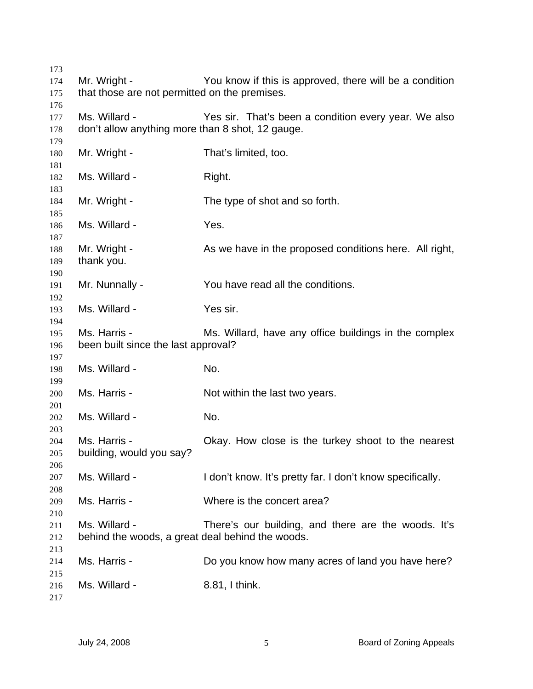| 173 |                                                  |                                                           |
|-----|--------------------------------------------------|-----------------------------------------------------------|
| 174 | Mr. Wright -                                     | You know if this is approved, there will be a condition   |
| 175 | that those are not permitted on the premises.    |                                                           |
| 176 |                                                  |                                                           |
| 177 | Ms. Willard -                                    | Yes sir. That's been a condition every year. We also      |
| 178 | don't allow anything more than 8 shot, 12 gauge. |                                                           |
| 179 |                                                  |                                                           |
| 180 | Mr. Wright -                                     | That's limited, too.                                      |
| 181 |                                                  |                                                           |
| 182 | Ms. Willard -                                    | Right.                                                    |
| 183 |                                                  |                                                           |
| 184 | Mr. Wright -                                     | The type of shot and so forth.                            |
| 185 |                                                  |                                                           |
| 186 | Ms. Willard -                                    | Yes.                                                      |
| 187 |                                                  |                                                           |
| 188 | Mr. Wright -                                     | As we have in the proposed conditions here. All right,    |
| 189 | thank you.                                       |                                                           |
| 190 |                                                  |                                                           |
| 191 | Mr. Nunnally -                                   | You have read all the conditions.                         |
| 192 |                                                  |                                                           |
| 193 | Ms. Willard -                                    | Yes sir.                                                  |
| 194 |                                                  |                                                           |
| 195 | Ms. Harris -                                     | Ms. Willard, have any office buildings in the complex     |
| 196 | been built since the last approval?              |                                                           |
| 197 |                                                  |                                                           |
| 198 | Ms. Willard -                                    | No.                                                       |
| 199 |                                                  |                                                           |
| 200 | Ms. Harris -                                     | Not within the last two years.                            |
| 201 |                                                  |                                                           |
| 202 | Ms. Willard -                                    | No.                                                       |
| 203 |                                                  |                                                           |
| 204 | Ms. Harris -                                     | Okay. How close is the turkey shoot to the nearest        |
| 205 | building, would you say?                         |                                                           |
| 206 |                                                  |                                                           |
| 207 | Ms. Willard -                                    | I don't know. It's pretty far. I don't know specifically. |
| 208 |                                                  |                                                           |
| 209 | Ms. Harris -                                     | Where is the concert area?                                |
| 210 |                                                  |                                                           |
| 211 | Ms. Willard -                                    | There's our building, and there are the woods. It's       |
| 212 | behind the woods, a great deal behind the woods. |                                                           |
| 213 |                                                  |                                                           |
| 214 | Ms. Harris -                                     | Do you know how many acres of land you have here?         |
| 215 |                                                  |                                                           |
| 216 | Ms. Willard -                                    | 8.81, I think.                                            |
| 217 |                                                  |                                                           |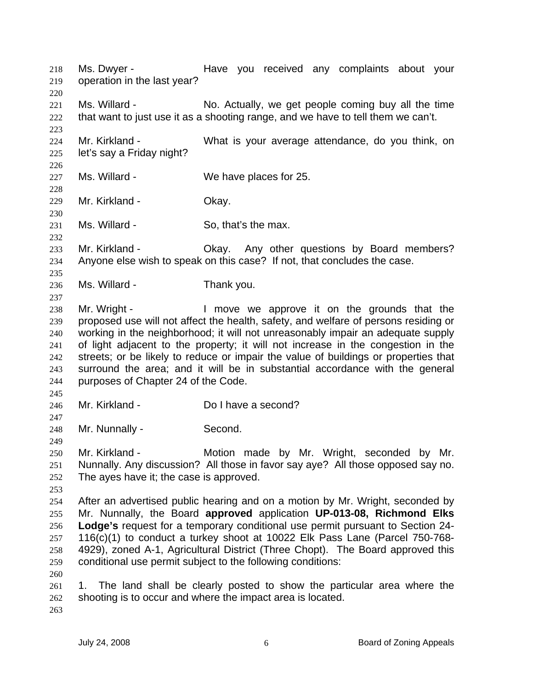Ms. Dwyer - The Have you received any complaints about your operation in the last year? 218 219 220 221 222 223 224 225 226 227 228 229 230 231 232 233 234 235 236 237 238 239 240 241 242 243 244 245 246 247 248 249 250 251 252 253 254 255 256 257 258 259 260 261 262 263 Ms. Willard - No. Actually, we get people coming buy all the time that want to just use it as a shooting range, and we have to tell them we can't. Mr. Kirkland - What is your average attendance, do you think, on let's say a Friday night? Ms. Willard - We have places for 25. Mr. Kirkland - **Okay.** Ms. Willard - So, that's the max. Mr. Kirkland - Chay. Any other questions by Board members? Anyone else wish to speak on this case? If not, that concludes the case. Ms. Willard - Thank you. Mr. Wright - I move we approve it on the grounds that the proposed use will not affect the health, safety, and welfare of persons residing or working in the neighborhood; it will not unreasonably impair an adequate supply of light adjacent to the property; it will not increase in the congestion in the streets; or be likely to reduce or impair the value of buildings or properties that surround the area; and it will be in substantial accordance with the general purposes of Chapter 24 of the Code. Mr. Kirkland - Do I have a second? Mr. Nunnally - Second. Mr. Kirkland - Motion made by Mr. Wright, seconded by Mr. Nunnally. Any discussion? All those in favor say aye? All those opposed say no. The ayes have it; the case is approved. After an advertised public hearing and on a motion by Mr. Wright, seconded by Mr. Nunnally, the Board **approved** application **UP-013-08, Richmond Elks Lodge's** request for a temporary conditional use permit pursuant to Section 24- 116(c)(1) to conduct a turkey shoot at 10022 Elk Pass Lane (Parcel 750-768- 4929), zoned A-1, Agricultural District (Three Chopt). The Board approved this conditional use permit subject to the following conditions: 1. The land shall be clearly posted to show the particular area where the shooting is to occur and where the impact area is located.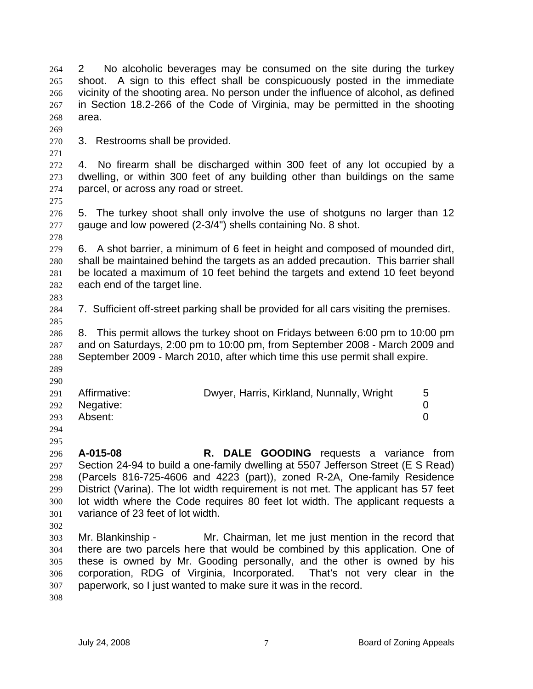2 No alcoholic beverages may be consumed on the site during the turkey shoot. A sign to this effect shall be conspicuously posted in the immediate vicinity of the shooting area. No person under the influence of alcohol, as defined in Section 18.2-266 of the Code of Virginia, may be permitted in the shooting area. 264 265 266 267 268

270 3. Restrooms shall be provided.

272 273 274 4. No firearm shall be discharged within 300 feet of any lot occupied by a dwelling, or within 300 feet of any building other than buildings on the same parcel, or across any road or street.

275

278

283

269

271

276 277 5. The turkey shoot shall only involve the use of shotguns no larger than 12 gauge and low powered (2-3/4") shells containing No. 8 shot.

279 280 281 282 6. A shot barrier, a minimum of 6 feet in height and composed of mounded dirt, shall be maintained behind the targets as an added precaution. This barrier shall be located a maximum of 10 feet behind the targets and extend 10 feet beyond each end of the target line.

284 285 7. Sufficient off-street parking shall be provided for all cars visiting the premises.

286 287 288 8. This permit allows the turkey shoot on Fridays between 6:00 pm to 10:00 pm and on Saturdays, 2:00 pm to 10:00 pm, from September 2008 - March 2009 and September 2009 - March 2010, after which time this use permit shall expire.

- 289 290
- 291 292 293 Affirmative: **Dwyer, Harris, Kirkland, Nunnally, Wright** 5 Negative: 0 Absent: 0
- 294 295
- 296 297 298 299 300 301 **A-015-08 R. DALE GOODING** requests a variance from Section 24-94 to build a one-family dwelling at 5507 Jefferson Street (E S Read) (Parcels 816-725-4606 and 4223 (part)), zoned R-2A, One-family Residence District (Varina). The lot width requirement is not met. The applicant has 57 feet lot width where the Code requires 80 feet lot width. The applicant requests a variance of 23 feet of lot width.
- 302

303 304 305 306 307 Mr. Blankinship - Mr. Chairman, let me just mention in the record that there are two parcels here that would be combined by this application. One of these is owned by Mr. Gooding personally, and the other is owned by his corporation, RDG of Virginia, Incorporated. That's not very clear in the paperwork, so I just wanted to make sure it was in the record.

308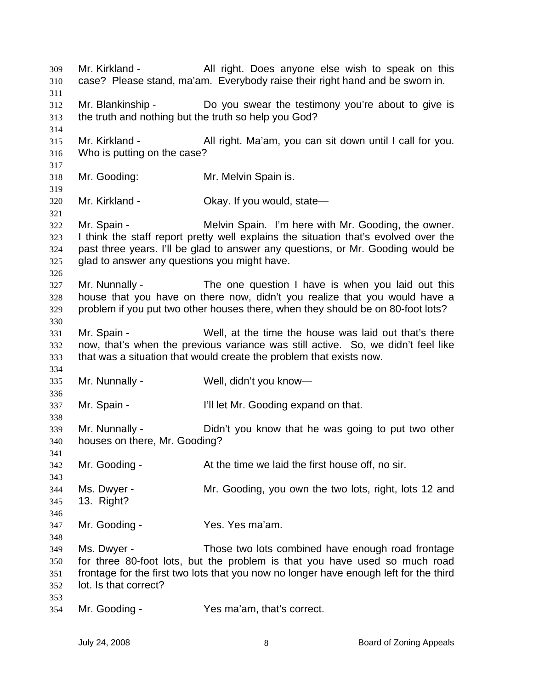Mr. Kirkland - All right. Does anyone else wish to speak on this case? Please stand, ma'am. Everybody raise their right hand and be sworn in. 309 310 311 312 313 314 315 316 317 318 319 320 321 322 323 324 325 326 327 328 329 330 331 332 333 334 335 336 337 338 339 340 341 342 343 344 345 346 347 348 349 350 351 352 353 354 Mr. Blankinship - Do you swear the testimony you're about to give is the truth and nothing but the truth so help you God? Mr. Kirkland - All right. Ma'am, you can sit down until I call for you. Who is putting on the case? Mr. Gooding: Mr. Melvin Spain is. Mr. Kirkland - Ckay. If you would, state— Mr. Spain - The Melvin Spain. I'm here with Mr. Gooding, the owner. I think the staff report pretty well explains the situation that's evolved over the past three years. I'll be glad to answer any questions, or Mr. Gooding would be glad to answer any questions you might have. Mr. Nunnally - The one question I have is when you laid out this house that you have on there now, didn't you realize that you would have a problem if you put two other houses there, when they should be on 80-foot lots? Mr. Spain - Well, at the time the house was laid out that's there now, that's when the previous variance was still active. So, we didn't feel like that was a situation that would create the problem that exists now. Mr. Nunnally - Well, didn't you know— Mr. Spain - I'll let Mr. Gooding expand on that. Mr. Nunnally - Didn't you know that he was going to put two other houses on there, Mr. Gooding? Mr. Gooding - The At the time we laid the first house off, no sir. Ms. Dwyer - Mr. Gooding, you own the two lots, right, lots 12 and 13. Right? Mr. Gooding - The Yes. Yes ma'am. Ms. Dwyer - Those two lots combined have enough road frontage for three 80-foot lots, but the problem is that you have used so much road frontage for the first two lots that you now no longer have enough left for the third lot. Is that correct? Mr. Gooding - The Yes ma'am, that's correct.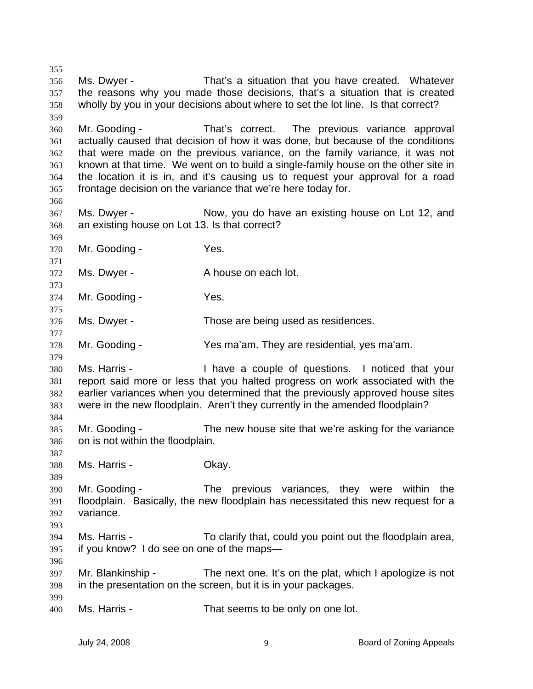356 357 358 359 360 361 362 363 364 365 366 367 368 369 370 371 372 373 374 375 376 377 378 379 380 381 382 383 384 385 386 387 388 389 390 391 392 393 394 395 396 397 398 399 400 Ms. Dwyer - That's a situation that you have created. Whatever the reasons why you made those decisions, that's a situation that is created wholly by you in your decisions about where to set the lot line. Is that correct? Mr. Gooding - That's correct. The previous variance approval actually caused that decision of how it was done, but because of the conditions that were made on the previous variance, on the family variance, it was not known at that time. We went on to build a single-family house on the other site in the location it is in, and it's causing us to request your approval for a road frontage decision on the variance that we're here today for. Ms. Dwyer - The Now, you do have an existing house on Lot 12, and an existing house on Lot 13. Is that correct? Mr. Gooding - Yes. Ms. Dwyer - A house on each lot. Mr. Gooding - The Yes. Ms. Dwyer - Those are being used as residences. Mr. Gooding - Yes ma'am. They are residential, yes ma'am. Ms. Harris - I have a couple of questions. I noticed that your report said more or less that you halted progress on work associated with the earlier variances when you determined that the previously approved house sites were in the new floodplain. Aren't they currently in the amended floodplain? Mr. Gooding - The new house site that we're asking for the variance on is not within the floodplain. Ms. Harris - Okay. Mr. Gooding - The previous variances, they were within the floodplain. Basically, the new floodplain has necessitated this new request for a variance. Ms. Harris - To clarify that, could you point out the floodplain area, if you know? I do see on one of the maps— Mr. Blankinship - The next one. It's on the plat, which I apologize is not in the presentation on the screen, but it is in your packages. Ms. Harris - That seems to be only on one lot.

355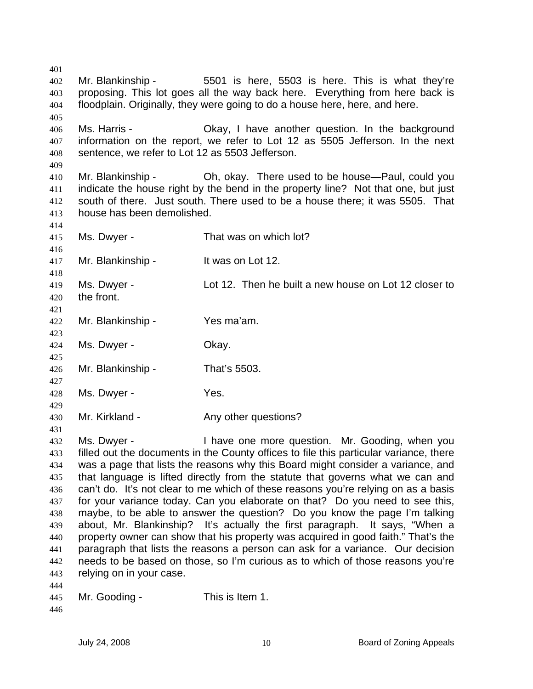401 402 403 404 405 406 407 408 409 410 411 412 413 414 415 416 417 418 419 420 421 422 423 424 425 426 427 428 429 430 431 432 433 434 435 436 437 438 439 440 441 442 443 444 Mr. Blankinship - 5501 is here, 5503 is here. This is what they're proposing. This lot goes all the way back here. Everything from here back is floodplain. Originally, they were going to do a house here, here, and here. Ms. Harris - Chay, I have another question. In the background information on the report, we refer to Lot 12 as 5505 Jefferson. In the next sentence, we refer to Lot 12 as 5503 Jefferson. Mr. Blankinship - Oh, okay. There used to be house—Paul, could you indicate the house right by the bend in the property line? Not that one, but just south of there. Just south. There used to be a house there; it was 5505. That house has been demolished. Ms. Dwyer - That was on which lot? Mr. Blankinship - It was on Lot 12. Ms. Dwyer - Lot 12. Then he built a new house on Lot 12 closer to the front. Mr. Blankinship - Yes ma'am. Ms. Dwyer - Chay. Mr. Blankinship - That's 5503. Ms. Dwyer - Yes. Mr. Kirkland - The Any other questions? Ms. Dwyer - Thave one more question. Mr. Gooding, when you filled out the documents in the County offices to file this particular variance, there was a page that lists the reasons why this Board might consider a variance, and that language is lifted directly from the statute that governs what we can and can't do. It's not clear to me which of these reasons you're relying on as a basis for your variance today. Can you elaborate on that? Do you need to see this, maybe, to be able to answer the question? Do you know the page I'm talking about, Mr. Blankinship? It's actually the first paragraph. It says, "When a property owner can show that his property was acquired in good faith." That's the paragraph that lists the reasons a person can ask for a variance. Our decision needs to be based on those, so I'm curious as to which of those reasons you're relying on in your case.

| Mr. Gooding -<br>445 | This is Item 1. |
|----------------------|-----------------|
|----------------------|-----------------|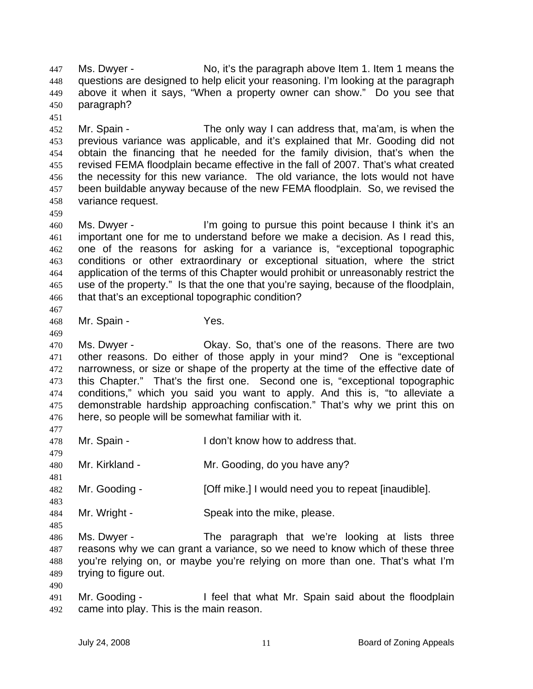Ms. Dwyer - No, it's the paragraph above Item 1. Item 1 means the questions are designed to help elicit your reasoning. I'm looking at the paragraph above it when it says, "When a property owner can show." Do you see that paragraph? 447 448 449 450

452 453 454 455 456 457 458 Mr. Spain - The only way I can address that, ma'am, is when the previous variance was applicable, and it's explained that Mr. Gooding did not obtain the financing that he needed for the family division, that's when the revised FEMA floodplain became effective in the fall of 2007. That's what created the necessity for this new variance. The old variance, the lots would not have been buildable anyway because of the new FEMA floodplain. So, we revised the variance request.

- 460 461 462 463 464 465 466 Ms. Dwyer - I'm going to pursue this point because I think it's an important one for me to understand before we make a decision. As I read this, one of the reasons for asking for a variance is, "exceptional topographic conditions or other extraordinary or exceptional situation, where the strict application of the terms of this Chapter would prohibit or unreasonably restrict the use of the property." Is that the one that you're saying, because of the floodplain, that that's an exceptional topographic condition?
- 467

469

477

479

481

483

485

490

451

459

- 468 Mr. Spain - Yes.
- 470 471 472 473 474 475 476 Ms. Dwyer - Okay. So, that's one of the reasons. There are two other reasons. Do either of those apply in your mind? One is "exceptional narrowness, or size or shape of the property at the time of the effective date of this Chapter." That's the first one. Second one is, "exceptional topographic conditions," which you said you want to apply. And this is, "to alleviate a demonstrable hardship approaching confiscation." That's why we print this on here, so people will be somewhat familiar with it.
- 478 Mr. Spain - The I don't know how to address that.
- 480 Mr. Kirkland - Mr. Gooding, do you have any?
- 482 Mr. Gooding - [Off mike.] I would need you to repeat [inaudible].
- 484 Mr. Wright - Speak into the mike, please.

486 487 488 489 Ms. Dwyer - The paragraph that we're looking at lists three reasons why we can grant a variance, so we need to know which of these three you're relying on, or maybe you're relying on more than one. That's what I'm trying to figure out.

491 492 Mr. Gooding - I feel that what Mr. Spain said about the floodplain came into play. This is the main reason.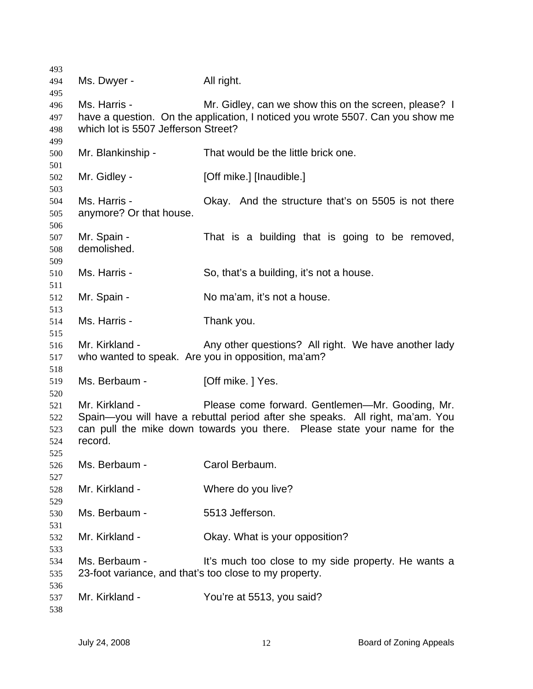| 493 |                                                        |                                                                                |
|-----|--------------------------------------------------------|--------------------------------------------------------------------------------|
| 494 | Ms. Dwyer -                                            | All right.                                                                     |
| 495 |                                                        |                                                                                |
| 496 | Ms. Harris -                                           | Mr. Gidley, can we show this on the screen, please? I                          |
| 497 |                                                        | have a question. On the application, I noticed you wrote 5507. Can you show me |
| 498 | which lot is 5507 Jefferson Street?                    |                                                                                |
| 499 |                                                        |                                                                                |
| 500 | Mr. Blankinship -                                      | That would be the little brick one.                                            |
| 501 |                                                        |                                                                                |
| 502 | Mr. Gidley -                                           | [Off mike.] [Inaudible.]                                                       |
| 503 |                                                        |                                                                                |
| 504 | Ms. Harris -                                           | Okay. And the structure that's on 5505 is not there                            |
| 505 | anymore? Or that house.                                |                                                                                |
| 506 |                                                        |                                                                                |
| 507 | Mr. Spain -                                            | That is a building that is going to be removed,                                |
| 508 | demolished.                                            |                                                                                |
| 509 |                                                        |                                                                                |
| 510 | Ms. Harris -                                           | So, that's a building, it's not a house.                                       |
| 511 |                                                        |                                                                                |
| 512 | Mr. Spain -                                            | No ma'am, it's not a house.                                                    |
| 513 |                                                        |                                                                                |
| 514 | Ms. Harris -                                           | Thank you.                                                                     |
| 515 |                                                        |                                                                                |
| 516 | Mr. Kirkland -                                         | Any other questions? All right. We have another lady                           |
| 517 |                                                        | who wanted to speak. Are you in opposition, ma'am?                             |
| 518 |                                                        |                                                                                |
| 519 | Ms. Berbaum -                                          | [Off mike.] Yes.                                                               |
| 520 |                                                        |                                                                                |
| 521 | Mr. Kirkland -                                         | Please come forward. Gentlemen—Mr. Gooding, Mr.                                |
| 522 |                                                        | Spain-you will have a rebuttal period after she speaks. All right, ma'am. You  |
| 523 |                                                        | can pull the mike down towards you there. Please state your name for the       |
| 524 | record.                                                |                                                                                |
| 525 |                                                        |                                                                                |
| 526 | Ms. Berbaum -                                          | Carol Berbaum.                                                                 |
| 527 |                                                        |                                                                                |
| 528 | Mr. Kirkland -                                         | Where do you live?                                                             |
| 529 |                                                        |                                                                                |
| 530 | Ms. Berbaum -                                          | 5513 Jefferson.                                                                |
| 531 |                                                        |                                                                                |
| 532 | Mr. Kirkland -                                         | Okay. What is your opposition?                                                 |
| 533 |                                                        |                                                                                |
| 534 | Ms. Berbaum -                                          | It's much too close to my side property. He wants a                            |
| 535 | 23-foot variance, and that's too close to my property. |                                                                                |
| 536 |                                                        |                                                                                |
| 537 | Mr. Kirkland -                                         | You're at 5513, you said?                                                      |
| 538 |                                                        |                                                                                |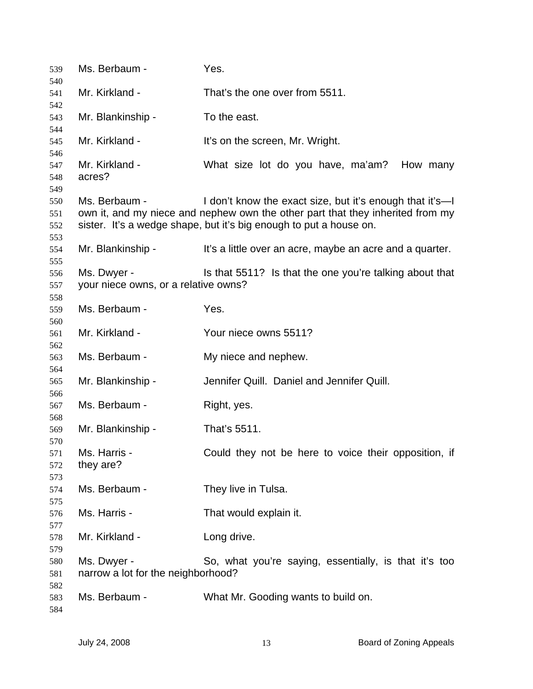| 539                      | Ms. Berbaum -                                       | Yes.                                                                                                                                                                                                             |
|--------------------------|-----------------------------------------------------|------------------------------------------------------------------------------------------------------------------------------------------------------------------------------------------------------------------|
| 540<br>541               | Mr. Kirkland -                                      | That's the one over from 5511.                                                                                                                                                                                   |
| 542                      |                                                     |                                                                                                                                                                                                                  |
| 543<br>544               | Mr. Blankinship -                                   | To the east.                                                                                                                                                                                                     |
| 545                      | Mr. Kirkland -                                      | It's on the screen, Mr. Wright.                                                                                                                                                                                  |
| 546<br>547<br>548<br>549 | Mr. Kirkland -<br>acres?                            | What size lot do you have, ma'am?<br>How many                                                                                                                                                                    |
| 550<br>551<br>552<br>553 | Ms. Berbaum -                                       | I don't know the exact size, but it's enough that it's—I<br>own it, and my niece and nephew own the other part that they inherited from my<br>sister. It's a wedge shape, but it's big enough to put a house on. |
| 554<br>555               | Mr. Blankinship -                                   | It's a little over an acre, maybe an acre and a quarter.                                                                                                                                                         |
| 556<br>557<br>558        | Ms. Dwyer -<br>your niece owns, or a relative owns? | Is that 5511? Is that the one you're talking about that                                                                                                                                                          |
| 559<br>560               | Ms. Berbaum -                                       | Yes.                                                                                                                                                                                                             |
| 561<br>562               | Mr. Kirkland -                                      | Your niece owns 5511?                                                                                                                                                                                            |
| 563                      | Ms. Berbaum -                                       | My niece and nephew.                                                                                                                                                                                             |
| 564<br>565               | Mr. Blankinship -                                   | Jennifer Quill. Daniel and Jennifer Quill.                                                                                                                                                                       |
| 566<br>567<br>568        | Ms. Berbaum -                                       | Right, yes.                                                                                                                                                                                                      |
| 569<br>570               | Mr. Blankinship -                                   | That's 5511.                                                                                                                                                                                                     |
| 571<br>572<br>573        | Ms. Harris -<br>they are?                           | Could they not be here to voice their opposition, if                                                                                                                                                             |
| 574<br>575               | Ms. Berbaum -                                       | They live in Tulsa.                                                                                                                                                                                              |
| 576<br>577               | Ms. Harris -                                        | That would explain it.                                                                                                                                                                                           |
| 578<br>579               | Mr. Kirkland -                                      | Long drive.                                                                                                                                                                                                      |
| 580<br>581               | Ms. Dwyer -<br>narrow a lot for the neighborhood?   | So, what you're saying, essentially, is that it's too                                                                                                                                                            |
| 582<br>583<br>584        | Ms. Berbaum -                                       | What Mr. Gooding wants to build on.                                                                                                                                                                              |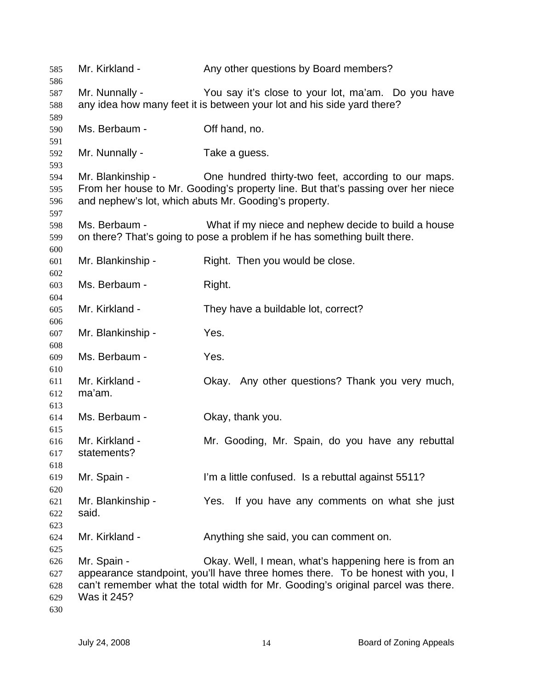| 585<br>586 | Mr. Kirkland -    | Any other questions by Board members?                                            |
|------------|-------------------|----------------------------------------------------------------------------------|
| 587        | Mr. Nunnally -    | You say it's close to your lot, ma'am. Do you have                               |
| 588        |                   | any idea how many feet it is between your lot and his side yard there?           |
| 589        |                   |                                                                                  |
| 590        | Ms. Berbaum -     | Off hand, no.                                                                    |
|            |                   |                                                                                  |
| 591<br>592 | Mr. Nunnally -    | Take a guess.                                                                    |
|            |                   |                                                                                  |
| 593        |                   |                                                                                  |
| 594        | Mr. Blankinship - | One hundred thirty-two feet, according to our maps.                              |
| 595        |                   | From her house to Mr. Gooding's property line. But that's passing over her niece |
| 596        |                   | and nephew's lot, which abuts Mr. Gooding's property.                            |
| 597        |                   |                                                                                  |
| 598        | Ms. Berbaum -     | What if my niece and nephew decide to build a house                              |
| 599        |                   | on there? That's going to pose a problem if he has something built there.        |
| 600        |                   |                                                                                  |
| 601        | Mr. Blankinship - | Right. Then you would be close.                                                  |
| 602        |                   |                                                                                  |
| 603        | Ms. Berbaum -     | Right.                                                                           |
| 604        |                   |                                                                                  |
| 605        | Mr. Kirkland -    | They have a buildable lot, correct?                                              |
| 606        |                   |                                                                                  |
| 607        | Mr. Blankinship - | Yes.                                                                             |
| 608        |                   |                                                                                  |
| 609        | Ms. Berbaum -     | Yes.                                                                             |
| 610        |                   |                                                                                  |
| 611        | Mr. Kirkland -    | Okay. Any other questions? Thank you very much,                                  |
| 612        | ma'am.            |                                                                                  |
| 613        |                   |                                                                                  |
| 614        | Ms. Berbaum -     | Okay, thank you.                                                                 |
| 615        |                   |                                                                                  |
| 616        | Mr. Kirkland -    | Mr. Gooding, Mr. Spain, do you have any rebuttal                                 |
| 617        | statements?       |                                                                                  |
| 618        |                   |                                                                                  |
| 619        | Mr. Spain -       | I'm a little confused. Is a rebuttal against 5511?                               |
| 620        |                   |                                                                                  |
| 621        | Mr. Blankinship - | Yes. If you have any comments on what she just                                   |
| 622        | said.             |                                                                                  |
| 623        |                   |                                                                                  |
| 624        | Mr. Kirkland -    | Anything she said, you can comment on.                                           |
| 625        |                   |                                                                                  |
| 626        | Mr. Spain -       | Okay. Well, I mean, what's happening here is from an                             |
| 627        |                   | appearance standpoint, you'll have three homes there. To be honest with you, I   |
| 628        |                   | can't remember what the total width for Mr. Gooding's original parcel was there. |
| 629        | Was it 245?       |                                                                                  |
| 630        |                   |                                                                                  |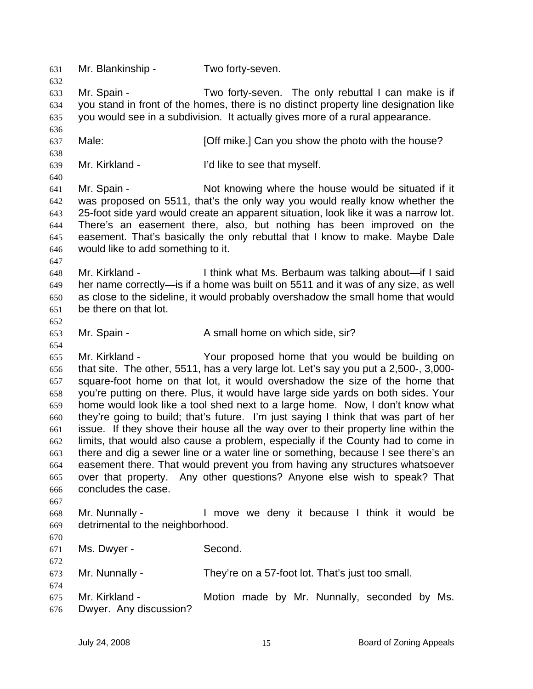631 Mr. Blankinship - Two forty-seven. 632 633 634 635 636 637 638 639 640 641 642 643 644 645 646 647 648 649 650 651 652 653 654 655 656 657 658 659 660 661 662 663 664 665 666 667 668 669 670 671 672 673 674 675 676 Mr. Spain - Two forty-seven. The only rebuttal I can make is if you stand in front of the homes, there is no distinct property line designation like you would see in a subdivision. It actually gives more of a rural appearance. Male: *Male:* **Example 2 [Off mike.] Can you show the photo with the house?** Mr. Kirkland - The Tellike to see that myself. Mr. Spain - The Solid Knowing where the house would be situated if it was proposed on 5511, that's the only way you would really know whether the 25-foot side yard would create an apparent situation, look like it was a narrow lot. There's an easement there, also, but nothing has been improved on the easement. That's basically the only rebuttal that I know to make. Maybe Dale would like to add something to it. Mr. Kirkland - I think what Ms. Berbaum was talking about—if I said her name correctly—is if a home was built on 5511 and it was of any size, as well as close to the sideline, it would probably overshadow the small home that would be there on that lot. Mr. Spain - A small home on which side, sir? Mr. Kirkland - The Your proposed home that you would be building on that site. The other, 5511, has a very large lot. Let's say you put a 2,500-, 3,000 square-foot home on that lot, it would overshadow the size of the home that you're putting on there. Plus, it would have large side yards on both sides. Your home would look like a tool shed next to a large home. Now, I don't know what they're going to build; that's future. I'm just saying I think that was part of her issue. If they shove their house all the way over to their property line within the limits, that would also cause a problem, especially if the County had to come in there and dig a sewer line or a water line or something, because I see there's an easement there. That would prevent you from having any structures whatsoever over that property. Any other questions? Anyone else wish to speak? That concludes the case. Mr. Nunnally - The Music over the deny it because I think it would be detrimental to the neighborhood. Ms. Dwyer - Second. Mr. Nunnally - They're on a 57-foot lot. That's just too small. Mr. Kirkland - The Motion made by Mr. Nunnally, seconded by Ms. Dwyer. Any discussion?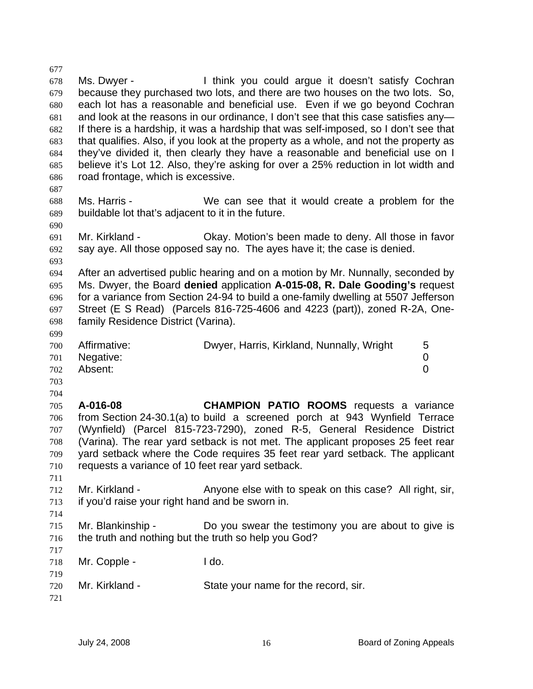677 678 679 680 681 682 683 684 685 686 687 688 689 690 691 692 693 694 695 696 697 698 699 700 701 702 703 704 705 706 707 708 709 710 711 712 713 714 715 716 717 718 719 720 721 Ms. Dwyer - Think you could argue it doesn't satisfy Cochran because they purchased two lots, and there are two houses on the two lots. So, each lot has a reasonable and beneficial use. Even if we go beyond Cochran and look at the reasons in our ordinance, I don't see that this case satisfies any— If there is a hardship, it was a hardship that was self-imposed, so I don't see that that qualifies. Also, if you look at the property as a whole, and not the property as they've divided it, then clearly they have a reasonable and beneficial use on I believe it's Lot 12. Also, they're asking for over a 25% reduction in lot width and road frontage, which is excessive. Ms. Harris - We can see that it would create a problem for the buildable lot that's adjacent to it in the future. Mr. Kirkland - Ckay. Motion's been made to deny. All those in favor say aye. All those opposed say no. The ayes have it; the case is denied. After an advertised public hearing and on a motion by Mr. Nunnally, seconded by Ms. Dwyer, the Board **denied** application **A-015-08, R. Dale Gooding's** request for a variance from Section 24-94 to build a one-family dwelling at 5507 Jefferson Street (E S Read) (Parcels 816-725-4606 and 4223 (part)), zoned R-2A, Onefamily Residence District (Varina). Affirmative: **Dwyer, Harris, Kirkland, Nunnally, Wright** 5 Negative: 0 Absent: 0 **A-016-08 CHAMPION PATIO ROOMS** requests a variance from Section 24-30.1(a) to build a screened porch at 943 Wynfield Terrace (Wynfield) (Parcel 815-723-7290), zoned R-5, General Residence District (Varina). The rear yard setback is not met. The applicant proposes 25 feet rear yard setback where the Code requires 35 feet rear yard setback. The applicant requests a variance of 10 feet rear yard setback. Mr. Kirkland - Anyone else with to speak on this case? All right, sir, if you'd raise your right hand and be sworn in. Mr. Blankinship - Do you swear the testimony you are about to give is the truth and nothing but the truth so help you God? Mr. Copple - I do. Mr. Kirkland - State your name for the record, sir.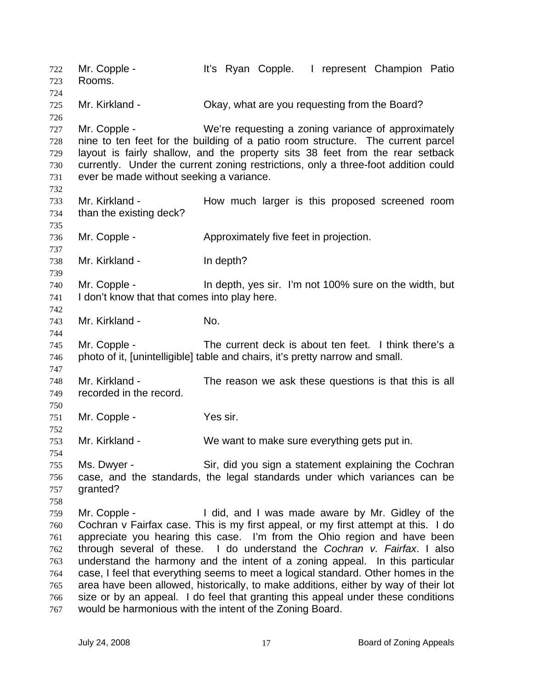Mr. Copple - It's Ryan Copple. I represent Champion Patio Rooms. 722 723 724 725 726 727 728 729 730 731 732 733 734 735 736 737 738 739 740 741 742 743 744 745 746 747 748 749 750 751 752 753 754 755 756 757 758 759 760 761 762 763 764 765 766 767 Mr. Kirkland - Chay, what are you requesting from the Board? Mr. Copple - We're requesting a zoning variance of approximately nine to ten feet for the building of a patio room structure. The current parcel layout is fairly shallow, and the property sits 38 feet from the rear setback currently. Under the current zoning restrictions, only a three-foot addition could ever be made without seeking a variance. Mr. Kirkland - The How much larger is this proposed screened room than the existing deck? Mr. Copple - Approximately five feet in projection. Mr. Kirkland - In depth? Mr. Copple - In depth, yes sir. I'm not 100% sure on the width, but I don't know that that comes into play here. Mr. Kirkland - No. Mr. Copple - The current deck is about ten feet. I think there's a photo of it, [unintelligible] table and chairs, it's pretty narrow and small. Mr. Kirkland - The reason we ask these questions is that this is all recorded in the record. Mr. Copple - Yes sir. Mr. Kirkland - We want to make sure everything gets put in. Ms. Dwyer - Sir, did you sign a statement explaining the Cochran case, and the standards, the legal standards under which variances can be granted? Mr. Copple - I did, and I was made aware by Mr. Gidley of the Cochran v Fairfax case. This is my first appeal, or my first attempt at this. I do appreciate you hearing this case. I'm from the Ohio region and have been through several of these. I do understand the *Cochran v. Fairfax*. I also understand the harmony and the intent of a zoning appeal. In this particular case, I feel that everything seems to meet a logical standard. Other homes in the area have been allowed, historically, to make additions, either by way of their lot size or by an appeal. I do feel that granting this appeal under these conditions would be harmonious with the intent of the Zoning Board.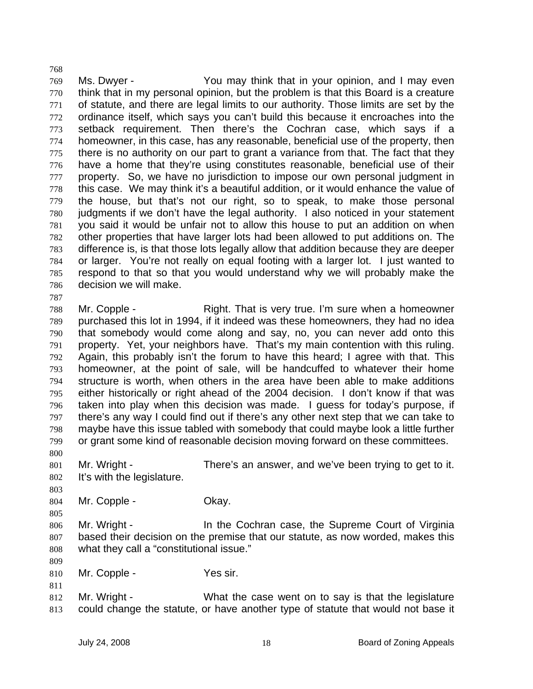769 770 771 772 773 774 775 776 777 778 779 780 781 782 783 784 785 786 787 Ms. Dwyer - The You may think that in your opinion, and I may even think that in my personal opinion, but the problem is that this Board is a creature of statute, and there are legal limits to our authority. Those limits are set by the ordinance itself, which says you can't build this because it encroaches into the setback requirement. Then there's the Cochran case, which says if a homeowner, in this case, has any reasonable, beneficial use of the property, then there is no authority on our part to grant a variance from that. The fact that they have a home that they're using constitutes reasonable, beneficial use of their property. So, we have no jurisdiction to impose our own personal judgment in this case. We may think it's a beautiful addition, or it would enhance the value of the house, but that's not our right, so to speak, to make those personal judgments if we don't have the legal authority. I also noticed in your statement you said it would be unfair not to allow this house to put an addition on when other properties that have larger lots had been allowed to put additions on. The difference is, is that those lots legally allow that addition because they are deeper or larger. You're not really on equal footing with a larger lot. I just wanted to respond to that so that you would understand why we will probably make the decision we will make.

788 789 790 791 792 793 794 795 796 797 798 799 Mr. Copple - Right. That is very true. I'm sure when a homeowner purchased this lot in 1994, if it indeed was these homeowners, they had no idea that somebody would come along and say, no, you can never add onto this property. Yet, your neighbors have. That's my main contention with this ruling. Again, this probably isn't the forum to have this heard; I agree with that. This homeowner, at the point of sale, will be handcuffed to whatever their home structure is worth, when others in the area have been able to make additions either historically or right ahead of the 2004 decision. I don't know if that was taken into play when this decision was made. I guess for today's purpose, if there's any way I could find out if there's any other next step that we can take to maybe have this issue tabled with somebody that could maybe look a little further or grant some kind of reasonable decision moving forward on these committees.

800

803

805

809

811

768

801 802 Mr. Wright - There's an answer, and we've been trying to get to it. It's with the legislature.

- 804 Mr. Copple - Chay.
- 806 807 808 Mr. Wright - In the Cochran case, the Supreme Court of Virginia based their decision on the premise that our statute, as now worded, makes this what they call a "constitutional issue."
- 810 Mr. Copple - Yes sir.
- 812 813 Mr. Wright - What the case went on to say is that the legislature could change the statute, or have another type of statute that would not base it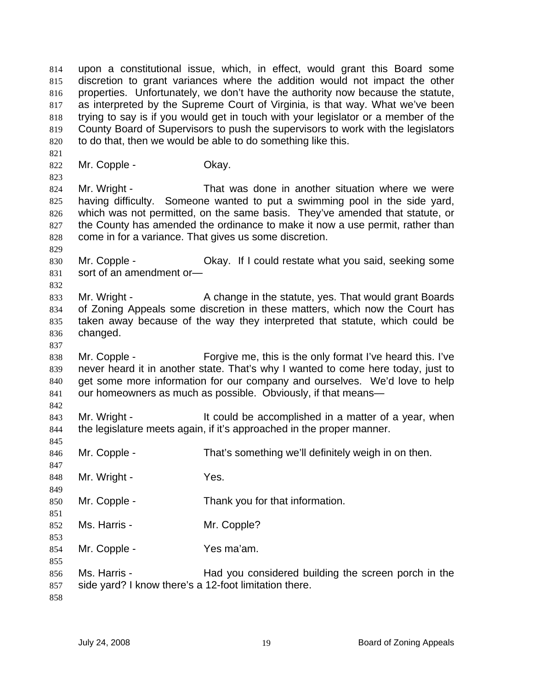upon a constitutional issue, which, in effect, would grant this Board some discretion to grant variances where the addition would not impact the other properties. Unfortunately, we don't have the authority now because the statute, as interpreted by the Supreme Court of Virginia, is that way. What we've been trying to say is if you would get in touch with your legislator or a member of the County Board of Supervisors to push the supervisors to work with the legislators to do that, then we would be able to do something like this. 814 815 816 817 818 819 820 821 822 823 824 825 826 827 828 829 830 831 832 833 834 835 836 837 838 839 840 841 842 843 844 845 846 847 848 849 850 851 852 853 854 855 856 857 858 Mr. Copple - Chay. Mr. Wright - That was done in another situation where we were having difficulty. Someone wanted to put a swimming pool in the side yard, which was not permitted, on the same basis. They've amended that statute, or the County has amended the ordinance to make it now a use permit, rather than come in for a variance. That gives us some discretion. Mr. Copple - Okay. If I could restate what you said, seeking some sort of an amendment or— Mr. Wright - A change in the statute, yes. That would grant Boards of Zoning Appeals some discretion in these matters, which now the Court has taken away because of the way they interpreted that statute, which could be changed. Mr. Copple - Forgive me, this is the only format I've heard this. I've never heard it in another state. That's why I wanted to come here today, just to get some more information for our company and ourselves. We'd love to help our homeowners as much as possible. Obviously, if that means— Mr. Wright - The State of the could be accomplished in a matter of a year, when the legislature meets again, if it's approached in the proper manner. Mr. Copple - That's something we'll definitely weigh in on then. Mr. Wright - Yes. Mr. Copple - Thank you for that information. Ms. Harris - Mr. Copple? Mr. Copple - Yes ma'am. Ms. Harris - Thad you considered building the screen porch in the side yard? I know there's a 12-foot limitation there.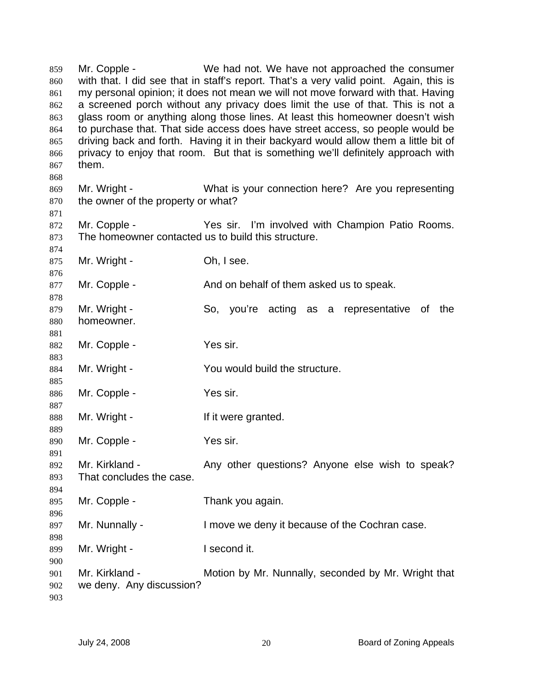Mr. Copple - We had not. We have not approached the consumer with that. I did see that in staff's report. That's a very valid point. Again, this is my personal opinion; it does not mean we will not move forward with that. Having a screened porch without any privacy does limit the use of that. This is not a glass room or anything along those lines. At least this homeowner doesn't wish to purchase that. That side access does have street access, so people would be driving back and forth. Having it in their backyard would allow them a little bit of privacy to enjoy that room. But that is something we'll definitely approach with them. 859 860 861 862 863 864 865 866 867 868 869 870 871 872 873 874 875 876 877 878 879 880 881 882 883 884 885 886 887 888 889 890 891 892 893 894 895 896 897 898 899 900 901 902 903 Mr. Wright - What is your connection here? Are you representing the owner of the property or what? Mr. Copple - The Yes sir. I'm involved with Champion Patio Rooms. The homeowner contacted us to build this structure. Mr. Wright - Ch, I see. Mr. Copple - And on behalf of them asked us to speak. Mr. Wright - So, you're acting as a representative of the homeowner. Mr. Copple - Yes sir. Mr. Wright - The You would build the structure. Mr. Copple - Yes sir. Mr. Wright - The Manuscript of the U.S. of the Mr. Wright - The Millet of the U.S. of the U.S. of the U.S. of the U.S. of the U.S. of the U.S. of the U.S. of the U.S. of the U.S. of the U.S. of the U.S. of the U.S. of the Mr. Copple - Yes sir. Mr. Kirkland - Any other questions? Anyone else wish to speak? That concludes the case. Mr. Copple - Thank you again. Mr. Nunnally - I move we deny it because of the Cochran case. Mr. Wright - The Recond it. Mr. Kirkland - **Motion by Mr. Nunnally, seconded by Mr. Wright that** we deny. Any discussion?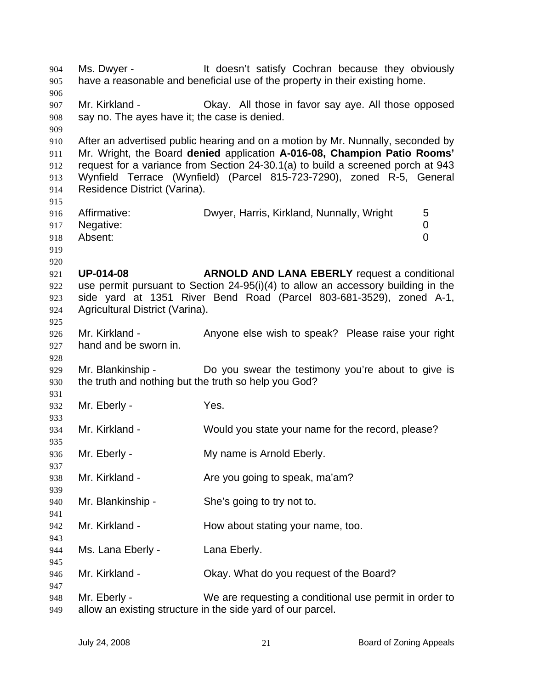Ms. Dwyer - It doesn't satisfy Cochran because they obviously have a reasonable and beneficial use of the property in their existing home. 904 905 906 907 908 909 910 911 912 913 914 915 916 917 918 919 920 921 922 923 924 925 926 927 928 929 930 931 932 933 934 935 936 937 938 939 940 941 942 943 944 945 946 947 948 949 Mr. Kirkland - Okay. All those in favor say aye. All those opposed say no. The ayes have it; the case is denied. After an advertised public hearing and on a motion by Mr. Nunnally, seconded by Mr. Wright, the Board **denied** application **A-016-08, Champion Patio Rooms'** request for a variance from Section 24-30.1(a) to build a screened porch at 943 Wynfield Terrace (Wynfield) (Parcel 815-723-7290), zoned R-5, General Residence District (Varina). Affirmative: **Dwyer, Harris, Kirkland, Nunnally, Wright** 5 Negative: 0 Absent: 0 **UP-014-08 ARNOLD AND LANA EBERLY** request a conditional use permit pursuant to Section 24-95(i)(4) to allow an accessory building in the side yard at 1351 River Bend Road (Parcel 803-681-3529), zoned A-1, Agricultural District (Varina). Mr. Kirkland - Anyone else wish to speak? Please raise your right hand and be sworn in. Mr. Blankinship - Do you swear the testimony you're about to give is the truth and nothing but the truth so help you God? Mr. Eberly - The Yes. Mr. Kirkland - Would you state your name for the record, please? Mr. Eberly - **My name is Arnold Eberly.** Mr. Kirkland - Are you going to speak, ma'am? Mr. Blankinship - She's going to try not to. Mr. Kirkland - The How about stating your name, too. Ms. Lana Eberly - Lana Eberly. Mr. Kirkland - Chay. What do you request of the Board? Mr. Eberly - We are requesting a conditional use permit in order to allow an existing structure in the side yard of our parcel.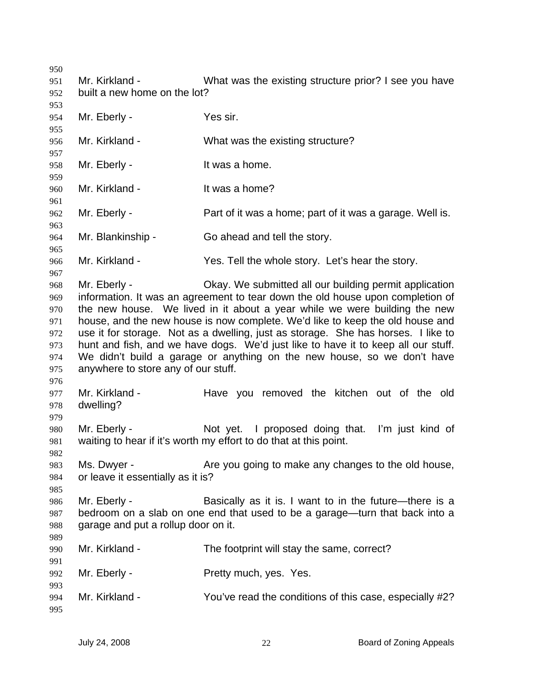Mr. Kirkland - What was the existing structure prior? I see you have built a new home on the lot? Mr. Eberly - Yes sir. Mr. Kirkland - What was the existing structure? Mr. Eberly - The Music School and Music School and Music School and Music School and Music School and Music School and Music School and Music School and Music School and Music School and Music School and Music School and M Mr. Kirkland - It was a home? Mr. Eberly - **Part of it was a home; part of it was a garage. Well is.** Mr. Blankinship - Go ahead and tell the story. Mr. Kirkland - Yes. Tell the whole story. Let's hear the story. Mr. Eberly - Okay. We submitted all our building permit application information. It was an agreement to tear down the old house upon completion of the new house. We lived in it about a year while we were building the new house, and the new house is now complete. We'd like to keep the old house and use it for storage. Not as a dwelling, just as storage. She has horses. I like to hunt and fish, and we have dogs. We'd just like to have it to keep all our stuff. We didn't build a garage or anything on the new house, so we don't have anywhere to store any of our stuff. Mr. Kirkland - Have you removed the kitchen out of the old dwelling? Mr. Eberly - The Not yet. I proposed doing that. I'm just kind of waiting to hear if it's worth my effort to do that at this point. Ms. Dwyer - The Are you going to make any changes to the old house, or leave it essentially as it is? Mr. Eberly - Basically as it is. I want to in the future—there is a bedroom on a slab on one end that used to be a garage—turn that back into a garage and put a rollup door on it. Mr. Kirkland - The footprint will stay the same, correct? Mr. Eberly - Pretty much, yes. Yes. Mr. Kirkland - You've read the conditions of this case, especially #2?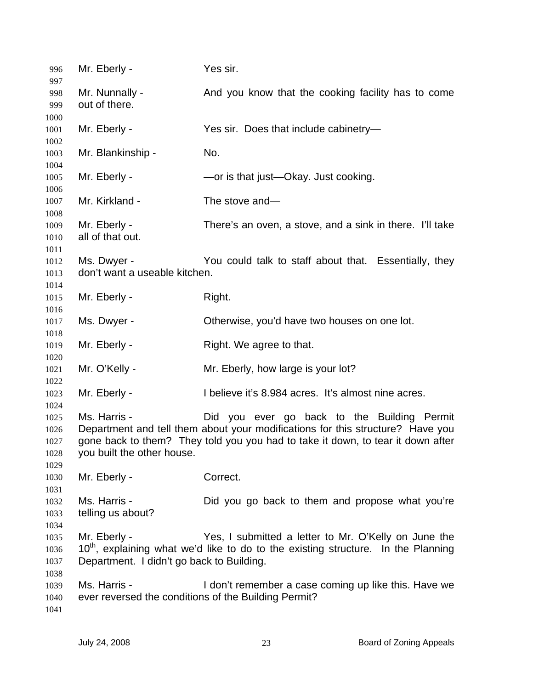| 996<br>997           | Mr. Eberly -                                                         | Yes sir.                                                                                      |
|----------------------|----------------------------------------------------------------------|-----------------------------------------------------------------------------------------------|
| 998                  | Mr. Nunnally -                                                       | And you know that the cooking facility has to come                                            |
| 999                  | out of there.                                                        |                                                                                               |
| 1000                 |                                                                      |                                                                                               |
| 1001                 | Mr. Eberly -                                                         | Yes sir. Does that include cabinetry-                                                         |
| 1002                 |                                                                      |                                                                                               |
| 1003                 | Mr. Blankinship -                                                    | No.                                                                                           |
| 1004<br>1005         | Mr. Eberly -                                                         | -or is that just-Okay. Just cooking.                                                          |
| 1006<br>1007<br>1008 | Mr. Kirkland -                                                       | The stove and-                                                                                |
| 1009<br>1010<br>1011 | Mr. Eberly -<br>all of that out.                                     | There's an oven, a stove, and a sink in there. I'll take                                      |
| 1012                 | Ms. Dwyer -                                                          | You could talk to staff about that. Essentially, they                                         |
| 1013                 | don't want a useable kitchen.                                        |                                                                                               |
| 1014                 |                                                                      |                                                                                               |
| 1015                 | Mr. Eberly -                                                         | Right.                                                                                        |
| 1016                 |                                                                      |                                                                                               |
| 1017                 | Ms. Dwyer -                                                          | Otherwise, you'd have two houses on one lot.                                                  |
| 1018                 |                                                                      |                                                                                               |
| 1019                 | Mr. Eberly -                                                         | Right. We agree to that.                                                                      |
| 1020                 |                                                                      |                                                                                               |
| 1021<br>1022         | Mr. O'Kelly -                                                        | Mr. Eberly, how large is your lot?                                                            |
| 1023                 | Mr. Eberly -                                                         | I believe it's 8.984 acres. It's almost nine acres.                                           |
| 1024                 |                                                                      |                                                                                               |
| 1025                 | Ms. Harris -                                                         | Did you ever go back to the Building Permit                                                   |
| 1026                 |                                                                      | Department and tell them about your modifications for this structure? Have you                |
| 1027                 |                                                                      | gone back to them? They told you you had to take it down, to tear it down after               |
| 1028                 | you built the other house.                                           |                                                                                               |
| 1029                 |                                                                      |                                                                                               |
| 1030                 | Mr. Eberly -                                                         | Correct.                                                                                      |
| 1031                 |                                                                      |                                                                                               |
| 1032                 | Ms. Harris -                                                         | Did you go back to them and propose what you're                                               |
| 1033                 | telling us about?                                                    |                                                                                               |
| 1034                 |                                                                      |                                                                                               |
| 1035                 | Mr. Eberly -                                                         | Yes, I submitted a letter to Mr. O'Kelly on June the                                          |
| 1036                 |                                                                      | 10 <sup>th</sup> , explaining what we'd like to do to the existing structure. In the Planning |
| 1037                 | Department. I didn't go back to Building.                            |                                                                                               |
| 1038                 |                                                                      |                                                                                               |
| 1039                 | Ms. Harris -<br>ever reversed the conditions of the Building Permit? | I don't remember a case coming up like this. Have we                                          |
| 1040<br>1041         |                                                                      |                                                                                               |
|                      |                                                                      |                                                                                               |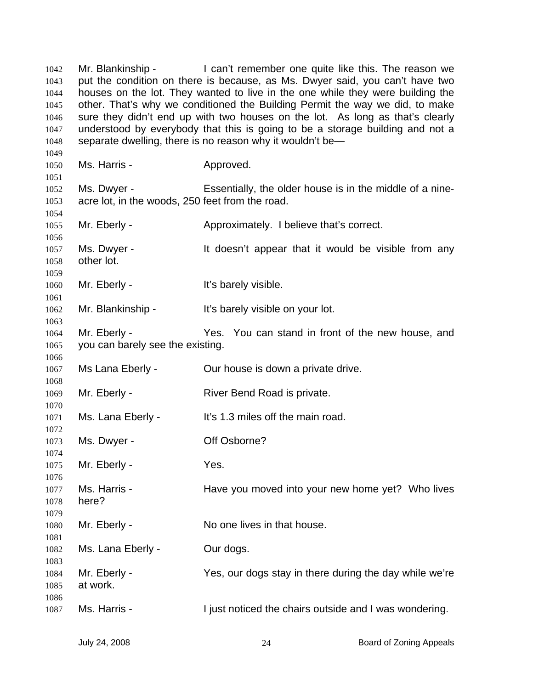Mr. Blankinship - The can't remember one quite like this. The reason we put the condition on there is because, as Ms. Dwyer said, you can't have two houses on the lot. They wanted to live in the one while they were building the other. That's why we conditioned the Building Permit the way we did, to make sure they didn't end up with two houses on the lot. As long as that's clearly understood by everybody that this is going to be a storage building and not a separate dwelling, there is no reason why it wouldn't be— Ms. Harris - The Approved. Ms. Dwyer - Essentially, the older house is in the middle of a nineacre lot, in the woods, 250 feet from the road. Mr. Eberly - **Approximately.** I believe that's correct. Ms. Dwyer - It doesn't appear that it would be visible from any other lot. Mr. Eberly - The Muslim Hotel History visible. Mr. Blankinship - It's barely visible on your lot. Mr. Eberly - Yes. You can stand in front of the new house, and you can barely see the existing. Ms Lana Eberly - Cur house is down a private drive. Mr. Eberly - River Bend Road is private. Ms. Lana Eberly - It's 1.3 miles off the main road. Ms. Dwyer - **Off Osborne?** Mr. Eberly - Yes. Ms. Harris - Have you moved into your new home yet? Who lives here? Mr. Eberly - No one lives in that house. Ms. Lana Eberly - Our dogs. Mr. Eberly - The Yes, our dogs stay in there during the day while we're at work. Ms. Harris - The I just noticed the chairs outside and I was wondering.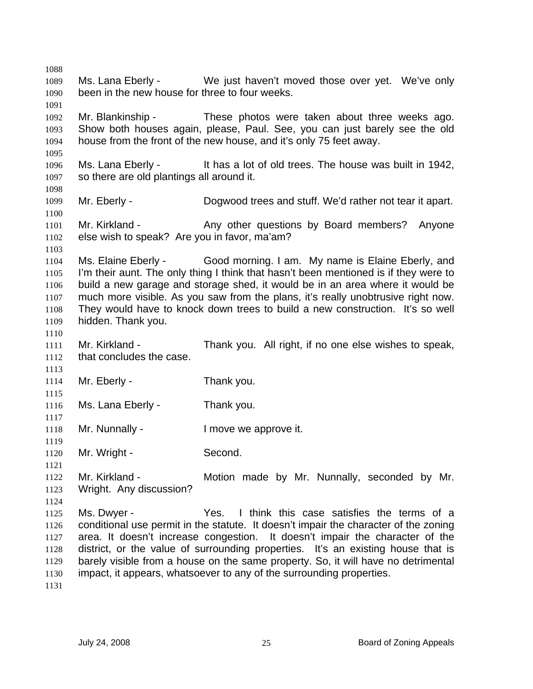1088 1089 1090 1091 1092 1093 1094 1095 1096 1097 1098 1099 1100 1101 1102 1103 1104 1105 1106 1107 1108 1109 1110 1111 1112 1113 1114 1115 1116 1117 1118 1119 1120 1121 1122 1123 1124 1125 1126 1127 1128 1129 1130 1131 Ms. Lana Eberly - We just haven't moved those over yet. We've only been in the new house for three to four weeks. Mr. Blankinship - These photos were taken about three weeks ago. Show both houses again, please, Paul. See, you can just barely see the old house from the front of the new house, and it's only 75 feet away. Ms. Lana Eberly - It has a lot of old trees. The house was built in 1942, so there are old plantings all around it. Mr. Eberly - Dogwood trees and stuff. We'd rather not tear it apart. Mr. Kirkland - The Any other questions by Board members? Anyone else wish to speak? Are you in favor, ma'am? Ms. Elaine Eberly - Good morning. I am. My name is Elaine Eberly, and I'm their aunt. The only thing I think that hasn't been mentioned is if they were to build a new garage and storage shed, it would be in an area where it would be much more visible. As you saw from the plans, it's really unobtrusive right now. They would have to knock down trees to build a new construction. It's so well hidden. Thank you. Mr. Kirkland - Thank you. All right, if no one else wishes to speak, that concludes the case. Mr. Eberly - Thank you. Ms. Lana Eberly - Thank you. Mr. Nunnally - The limove we approve it. Mr. Wright - Second. Mr. Kirkland - The Motion made by Mr. Nunnally, seconded by Mr. Wright. Any discussion? Ms. Dwyer - Yes. I think this case satisfies the terms of a conditional use permit in the statute. It doesn't impair the character of the zoning area. It doesn't increase congestion. It doesn't impair the character of the district, or the value of surrounding properties. It's an existing house that is barely visible from a house on the same property. So, it will have no detrimental impact, it appears, whatsoever to any of the surrounding properties.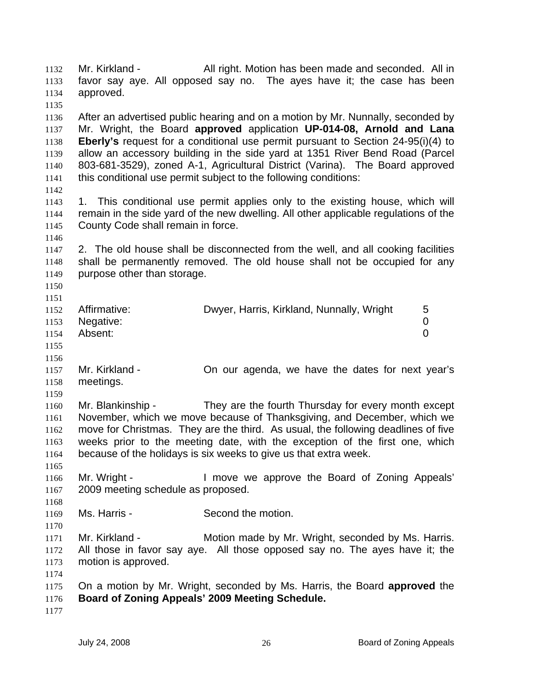Mr. Kirkland - All right. Motion has been made and seconded. All in favor say aye. All opposed say no. The ayes have it; the case has been approved. 1132 1133 1134 1135 1136 1137 1138 1139 1140 1141 1142 1143 1144 1145 1146 1147 1148 1149 1150 1151 1152 1153 1154 1155 1156 1157 1158 1159 1160 1161 1162 1163 1164 1165 1166 1167 1168 1169 1170 1171 1172 1173 1174 1175 1176 1177 After an advertised public hearing and on a motion by Mr. Nunnally, seconded by Mr. Wright, the Board **approved** application **UP-014-08, Arnold and Lana Eberly's** request for a conditional use permit pursuant to Section 24-95(i)(4) to allow an accessory building in the side yard at 1351 River Bend Road (Parcel 803-681-3529), zoned A-1, Agricultural District (Varina). The Board approved this conditional use permit subject to the following conditions: 1. This conditional use permit applies only to the existing house, which will remain in the side yard of the new dwelling. All other applicable regulations of the County Code shall remain in force. 2. The old house shall be disconnected from the well, and all cooking facilities shall be permanently removed. The old house shall not be occupied for any purpose other than storage. Affirmative: **Dwyer, Harris, Kirkland, Nunnally, Wright** 5 Negative: 0 Absent: 0 Mr. Kirkland - On our agenda, we have the dates for next year's meetings. Mr. Blankinship - They are the fourth Thursday for every month except November, which we move because of Thanksgiving, and December, which we move for Christmas. They are the third. As usual, the following deadlines of five weeks prior to the meeting date, with the exception of the first one, which because of the holidays is six weeks to give us that extra week. Mr. Wright - The Muslim Cove we approve the Board of Zoning Appeals' 2009 meeting schedule as proposed. Ms. Harris - Second the motion. Mr. Kirkland - Motion made by Mr. Wright, seconded by Ms. Harris. All those in favor say aye. All those opposed say no. The ayes have it; the motion is approved. On a motion by Mr. Wright, seconded by Ms. Harris, the Board **approved** the **Board of Zoning Appeals' 2009 Meeting Schedule.**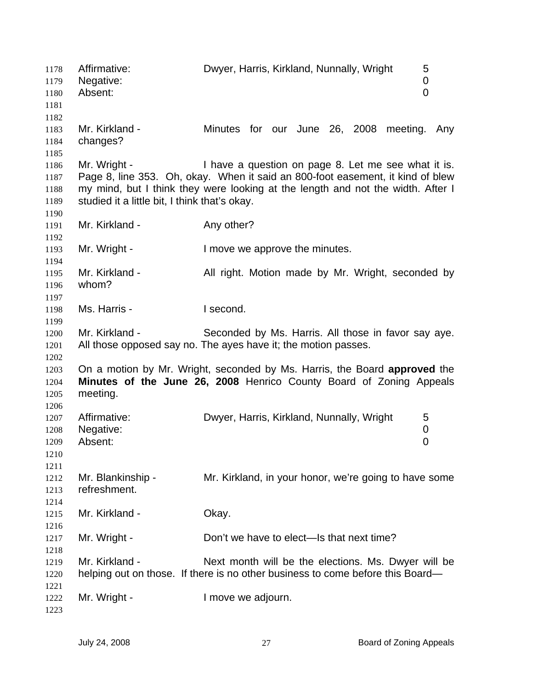Affirmative: Dwyer, Harris, Kirkland, Nunnally, Wright 5 Negative: 0 Absent: 0 Mr. Kirkland - The Minutes for our June 26, 2008 meeting. Any changes? Mr. Wright - Thave a question on page 8. Let me see what it is. Page 8, line 353. Oh, okay. When it said an 800-foot easement, it kind of blew my mind, but I think they were looking at the length and not the width. After I studied it a little bit, I think that's okay. Mr. Kirkland - Any other? Mr. Wright - I move we approve the minutes. Mr. Kirkland - All right. Motion made by Mr. Wright, seconded by whom? Ms. Harris - **I** second. Mr. Kirkland - Seconded by Ms. Harris. All those in favor say aye. All those opposed say no. The ayes have it; the motion passes. On a motion by Mr. Wright, seconded by Ms. Harris, the Board **approved** the **Minutes of the June 26, 2008** Henrico County Board of Zoning Appeals meeting. Affirmative: Dwyer, Harris, Kirkland, Nunnally, Wright 5 Negative: 0 Absent: 0 Mr. Blankinship - Mr. Kirkland, in your honor, we're going to have some refreshment. Mr. Kirkland - **Okay.** Mr. Wright - Don't we have to elect—Is that next time? Mr. Kirkland - Next month will be the elections. Ms. Dwyer will be helping out on those. If there is no other business to come before this Board— Mr. Wright - The Music Contract Henry Henry Mr. Wright - The Industry Henry Henry Henry Henry Henry Henry Henry H